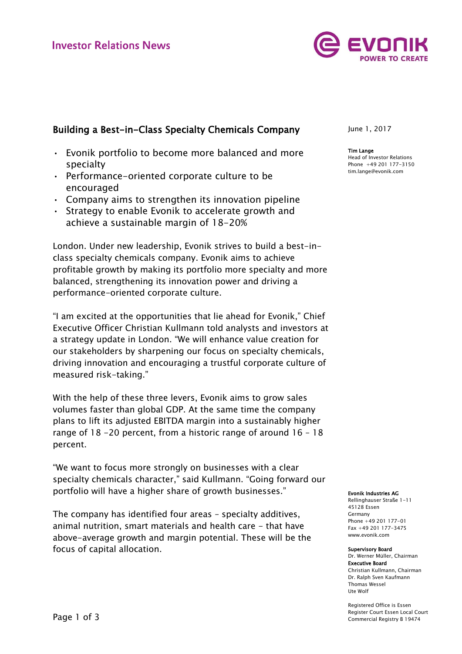

## Building a Best-in-Class Specialty Chemicals Company

- Evonik portfolio to become more balanced and more specialty
- Performance-oriented corporate culture to be encouraged
- Company aims to strengthen its innovation pipeline
- Strategy to enable Evonik to accelerate growth and achieve a sustainable margin of 18-20%

London. Under new leadership, Evonik strives to build a best-inclass specialty chemicals company. Evonik aims to achieve profitable growth by making its portfolio more specialty and more balanced, strengthening its innovation power and driving a performance-oriented corporate culture.

"I am excited at the opportunities that lie ahead for Evonik," Chief Executive Officer Christian Kullmann told analysts and investors at a strategy update in London. "We will enhance value creation for our stakeholders by sharpening our focus on specialty chemicals, driving innovation and encouraging a trustful corporate culture of measured risk-taking."

With the help of these three levers, Evonik aims to grow sales volumes faster than global GDP. At the same time the company plans to lift its adjusted EBITDA margin into a sustainably higher range of 18 -20 percent, from a historic range of around 16 – 18 percent.

"We want to focus more strongly on businesses with a clear specialty chemicals character," said Kullmann. "Going forward our portfolio will have a higher share of growth businesses."

The company has identified four areas – specialty additives, animal nutrition, smart materials and health care - that have above-average growth and margin potential. These will be the focus of capital allocation.

June 1, 2017

Tim Lange Head of Investor Relations Phone +49 201 177-3150 tim.lange@evonik.com

Evonik Industries AG

Rellinghauser Straße 1-11 45128 Essen Germany Phone +49 201 177-01 Fax +49 201 177-3475 www.evonik.com

## Supervisory Board Dr. Werner Müller, Chairman Executive Board Christian Kullmann, Chairman Dr. Ralph Sven Kaufmann Thomas Wessel

Ute Wolf

Registered Office is Essen Register Court Essen Local Court Commercial Registry B 19474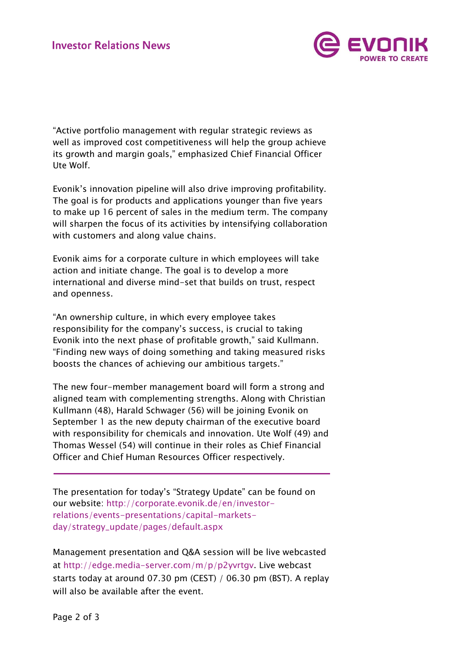

"Active portfolio management with regular strategic reviews as well as improved cost competitiveness will help the group achieve its growth and margin goals," emphasized Chief Financial Officer Ute Wolf.

Evonik's innovation pipeline will also drive improving profitability. The goal is for products and applications younger than five years to make up 16 percent of sales in the medium term. The company will sharpen the focus of its activities by intensifying collaboration with customers and along value chains.

Evonik aims for a corporate culture in which employees will take action and initiate change. The goal is to develop a more international and diverse mind-set that builds on trust, respect and openness.

"An ownership culture, in which every employee takes responsibility for the company's success, is crucial to taking Evonik into the next phase of profitable growth," said Kullmann. "Finding new ways of doing something and taking measured risks boosts the chances of achieving our ambitious targets."

The new four-member management board will form a strong and aligned team with complementing strengths. Along with Christian Kullmann (48), Harald Schwager (56) will be joining Evonik on September 1 as the new deputy chairman of the executive board with responsibility for chemicals and innovation. Ute Wolf (49) and Thomas Wessel (54) will continue in their roles as Chief Financial Officer and Chief Human Resources Officer respectively.

The presentation for today's "Strategy Update" can be found on our website: [http://corporate.evonik.de/en/investor](http://corporate.evonik.de/en/investor-relations/events-presentations/capital-markets-day/strategy_update/pages/default.aspx)[relations/events-presentations/capital-markets](http://corporate.evonik.de/en/investor-relations/events-presentations/capital-markets-day/strategy_update/pages/default.aspx)[day/strategy\\_update/pages/default.aspx](http://corporate.evonik.de/en/investor-relations/events-presentations/capital-markets-day/strategy_update/pages/default.aspx)

Management presentation and Q&A session will be live webcasted at [http://edge.media-server.com/m/p/p2yvrtgv.](http://edge.media-server.com/m/p/p2yvrtgv) Live webcast starts today at around 07.30 pm (CEST) / 06.30 pm (BST). A replay will also be available after the event.